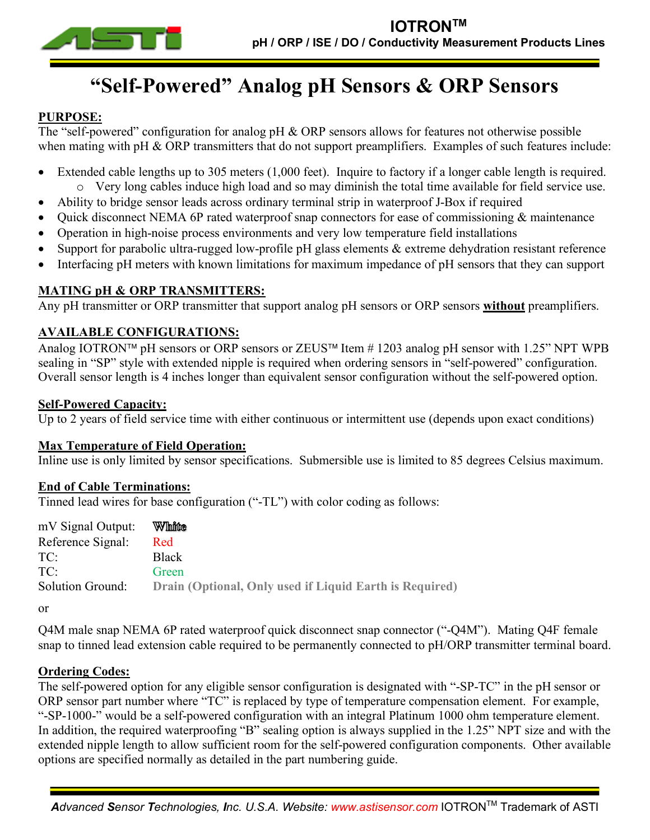

# **"Self-Powered" Analog pH Sensors & ORP Sensors**

### **PURPOSE:**

The "self-powered" configuration for analog pH & ORP sensors allows for features not otherwise possible when mating with pH & ORP transmitters that do not support preamplifiers. Examples of such features include:

- Extended cable lengths up to 305 meters (1,000 feet). Inquire to factory if a longer cable length is required. o Very long cables induce high load and so may diminish the total time available for field service use.
- Ability to bridge sensor leads across ordinary terminal strip in waterproof J-Box if required
- Quick disconnect NEMA 6P rated waterproof snap connectors for ease of commissioning & maintenance
- Operation in high-noise process environments and very low temperature field installations
- Support for parabolic ultra-rugged low-profile pH glass elements & extreme dehydration resistant reference
- Interfacing pH meters with known limitations for maximum impedance of pH sensors that they can support

#### **MATING pH & ORP TRANSMITTERS:**

Any pH transmitter or ORP transmitter that support analog pH sensors or ORP sensors **without** preamplifiers.

#### **AVAILABLE CONFIGURATIONS:**

Analog IOTRON<sup>™</sup> pH sensors or ORP sensors or ZEUS<sup>™</sup> Item # 1203 analog pH sensor with 1.25" NPT WPB sealing in "SP" style with extended nipple is required when ordering sensors in "self-powered" configuration. Overall sensor length is 4 inches longer than equivalent sensor configuration without the self-powered option.

#### **Self-Powered Capacity:**

Up to 2 years of field service time with either continuous or intermittent use (depends upon exact conditions)

#### **Max Temperature of Field Operation:**

Inline use is only limited by sensor specifications. Submersible use is limited to 85 degrees Celsius maximum.

#### **End of Cable Terminations:**

Tinned lead wires for base configuration ("-TL") with color coding as follows:

| mV Signal Output: | White                                                   |
|-------------------|---------------------------------------------------------|
| Reference Signal: | Red                                                     |
| TC·               | <b>Black</b>                                            |
| TC·               | Green                                                   |
| Solution Ground:  | Drain (Optional, Only used if Liquid Earth is Required) |
|                   |                                                         |

or

Q4M male snap NEMA 6P rated waterproof quick disconnect snap connector ("-Q4M"). Mating Q4F female snap to tinned lead extension cable required to be permanently connected to pH/ORP transmitter terminal board.

#### **Ordering Codes:**

The self-powered option for any eligible sensor configuration is designated with "-SP-TC" in the pH sensor or ORP sensor part number where "TC" is replaced by type of temperature compensation element. For example, "-SP-1000-" would be a self-powered configuration with an integral Platinum 1000 ohm temperature element. In addition, the required waterproofing "B" sealing option is always supplied in the 1.25" NPT size and with the extended nipple length to allow sufficient room for the self-powered configuration components. Other available options are specified normally as detailed in the part numbering guide.